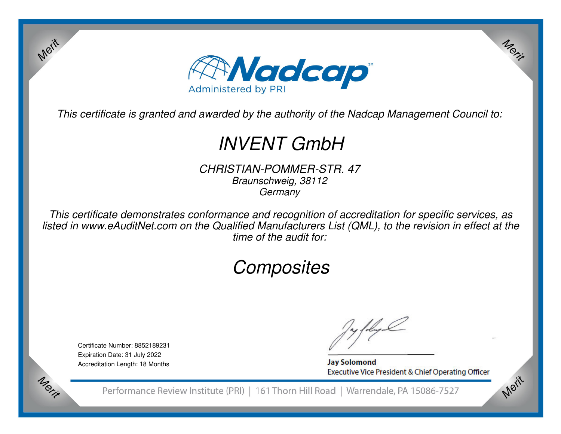

*This certificate is granted and awarded by the authority of the Nadcap Management Council to:*

# *INVENT GmbH*

*CHRISTIAN-POMMER-STR. 47 Braunschweig, 38112 Germany*

*This certificate demonstrates conformance and recognition of accreditation for specific services, as listed in www.eAuditNet.com on the Qualified Manufacturers List (QML), to the revision in effect at the time of the audit for:*

## *Composites*

Certificate Number: 8852189231 Expiration Date: 31 July 2022 Accreditation Length: 18 Months

Merit

Morie

**Jay Solomond** Executive Vice President & Chief Operating Officer Merit

Merit

Performance Review Institute (PRI) | 161 Thorn Hill Road | Warrendale, PA 15086-7527